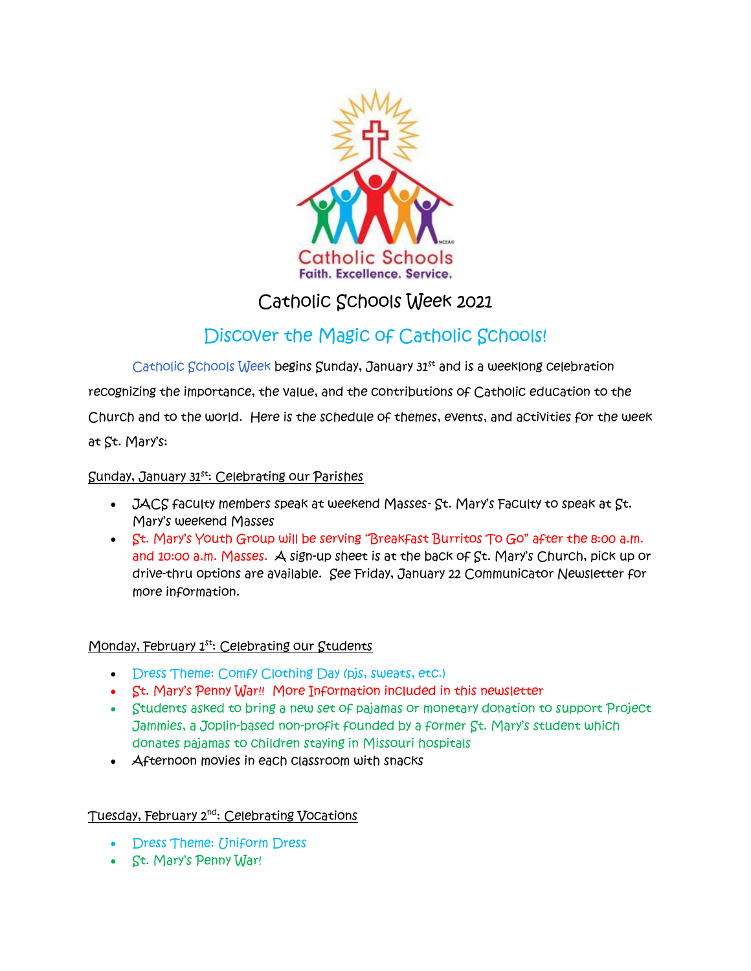

# Catholic Schools Week 2021

# Discover the Magic of Catholic Schools!

Catholic Schools Week begins Sunday, January 31<sup>st</sup> and is a weeklong celebration recognizing the importance, the value, and the contributions of Catholic education to the Church and to the world. Here is the schedule of themes, events, and activities for the week

at St. Mary's:

## Sunday, January 31st: Celebrating our Parishes

- $JACS$  faculty members speak at weekend Masses-  $St.$  Mary's Faculty to speak at  $St.$ Mary's weekend Masses
- St. Mary's Youth Group will be serving "Breakfast Burritos To Go" after the 8:00 a.m. and 10:00 a.m. Masses. A sign-up sheet is at the back of St. Mary's Church, pick up or drive-thru options are available. See Friday, January 22 Communicator Newsletter for more information.

## Monday, February 1<sup>st</sup>: Celebrating our Students

- Dress Theme: Comfy Clothing Day (pjs, sweats, etc.)
- St. Mary's Penny War!! More Information included in this newsletter
- Students asked to bring a new set of pajamas or monetary donation to support Project Jammies, a Joplin-based non-profit founded by a former St. Mary's student which donates pajamas to children staying in Missouri hospitals
- Afternoon movies in each classroom with snacks

## Tuesday, February 2<sup>nd</sup>: Celebrating Vocations

- Dress Theme: Uniform Dress
- St. Mary's Penny War!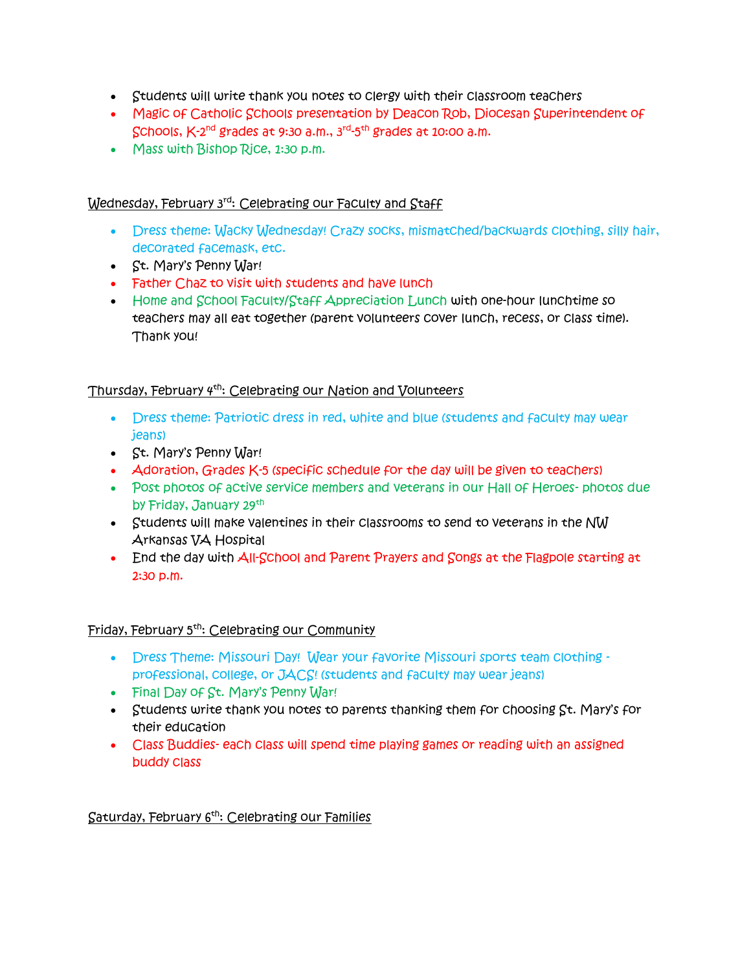- Students will write thank you notes to clergy with their classroom teachers
- Magic of Catholic Schools presentation by Deacon Rob, Diocesan Superintendent of Schools, K-2<sup>nd</sup> grades at 9:30 a.m., 3<sup>rd</sup>-5<sup>th</sup> grades at 10:00 a.m.
- Mass with Bishop Rice, 1:30 p.m.

### Wednesday, February 3rd: Celebrating our Faculty and Staff

- Dress theme: Wacky Wednesday! Crazy socks, mismatched/backwards clothing, silly hair, decorated facemask, etc.
- St. Mary's Penny War!
- Father Chaz to visit with students and have lunch
- Home and School Faculty/Staff Appreciation Lunch with one-hour lunchtime so teachers may all eat together (parent volunteers cover lunch, recess, or class time). Thank you!

### Thursday, February 4<sup>th</sup>: Celebrating our Nation and Volunteers

- Dress theme: Patriotic dress in red, white and blue (students and faculty may wear jeans)
- St. Mary's Penny War!
- Adoration, Grades K-5 (specific schedule for the day will be given to teachers)
- Post photos of active service members and veterans in our Hall of Heroes-photos due by Friday, January 29th
- Students will make valentines in their classrooms to send to veterans in the N $\rm W$ Arkansas VA Hospital
- End the day with All-School and Parent Prayers and Songs at the Flagpole starting at 2:30 p.m.

#### Friday, February 5th: Celebrating our Community

- Dress Theme: Missouri Day! Wear your favorite Missouri sports team clothing professional, college, or JACS! (students and faculty may wear jeans)
- Final Day of St. Mary's Penny War!
- Students write thank you notes to parents thanking them for choosing St. Mary's for their education
- Class Buddies-each class will spend time playing games or reading with an assigned buddy class

#### Saturday, February 6th: Celebrating our Families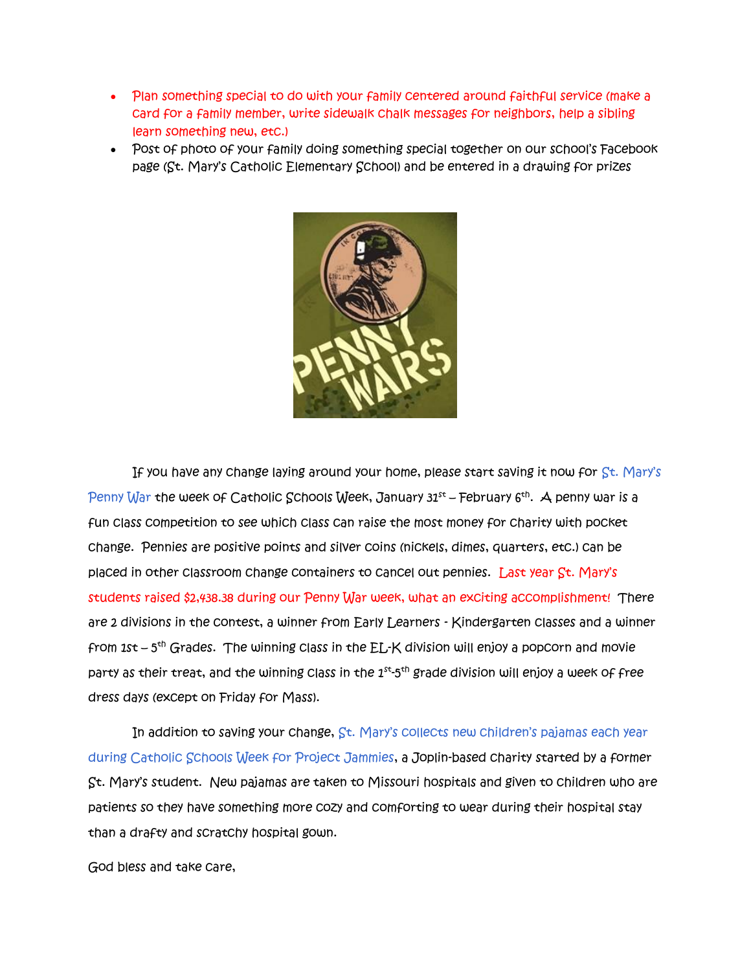- Plan something special to do with your family centered around faithful service (make a card for a family member, write sidewalk chalk messages for neighbors, help a sibling learn something new, etc.)
- Post of photo of your family doing something special together on our school's Facebook page (St. Mary's Catholic Elementary School) and be entered in a drawing for prizes



If you have any change laying around your home, please start saving it now for St. Mary's Penny War the week of Catholic Schools Week, January 31st – February 6<sup>th</sup>. A penny war is a fun class competition to see which class can raise the most money for charity with pocket change. Pennies are positive points and silver coins (nickels, dimes, quarters, etc.) can be placed in other classroom change containers to cancel out pennies. Last year St. Mary's students raised \$2,438.38 during our Penny War week, what an exciting accomplishment! There are 2 divisions in the contest, a winner from Early Learners - Kindergarten classes and a winner from 1st – 5<sup>th</sup> Grades. The winning class in the EL-K division will enjoy a popcorn and movie party as their treat, and the winning class in the  $1^{\rm st}\text{-}5^{\rm th}$  grade division will enjoy a week of free dress days (except on Friday for Mass).

In addition to saving your change, St. Mary's collects new children's pajamas each year during Catholic Schools Week for Project Jammies, a Joplin-based charity started by a former St. Mary's student. New pajamas are taken to Missouri hospitals and given to children who are patients so they have something more cozy and comforting to wear during their hospital stay than a drafty and scratchy hospital gown.

God bless and take care,